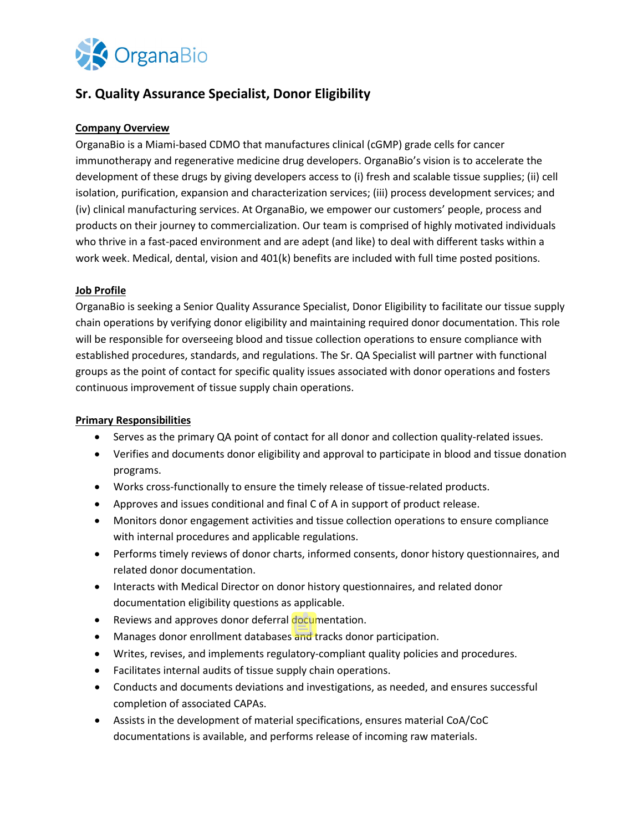

# **Sr. Quality Assurance Specialist, Donor Eligibility**

# **Company Overview**

OrganaBio is a Miami-based CDMO that manufactures clinical (cGMP) grade cells for cancer immunotherapy and regenerative medicine drug developers. OrganaBio's vision is to accelerate the development of these drugs by giving developers access to (i) fresh and scalable tissue supplies; (ii) cell isolation, purification, expansion and characterization services; (iii) process development services; and (iv) clinical manufacturing services. At OrganaBio, we empower our customers' people, process and products on their journey to commercialization. Our team is comprised of highly motivated individuals who thrive in a fast-paced environment and are adept (and like) to deal with different tasks within a work week. Medical, dental, vision and 401(k) benefits are included with full time posted positions.

# **Job Profile**

OrganaBio is seeking a Senior Quality Assurance Specialist, Donor Eligibility to facilitate our tissue supply chain operations by verifying donor eligibility and maintaining required donor documentation. This role will be responsible for overseeing blood and tissue collection operations to ensure compliance with established procedures, standards, and regulations. The Sr. QA Specialist will partner with functional groups as the point of contact for specific quality issues associated with donor operations and fosters continuous improvement of tissue supply chain operations.

#### **Primary Responsibilities**

- Serves as the primary QA point of contact for all donor and collection quality-related issues.
- Verifies and documents donor eligibility and approval to participate in blood and tissue donation programs.
- Works cross-functionally to ensure the timely release of tissue-related products.
- Approves and issues conditional and final C of A in support of product release.
- Monitors donor engagement activities and tissue collection operations to ensure compliance with internal procedures and applicable regulations.
- Performs timely reviews of donor charts, informed consents, donor history questionnaires, and related donor documentation.
- Interacts with Medical Director on donor history questionnaires, and related donor documentation eligibility questions as applicable.
- Reviews and approves donor deferral documentation.
- Manages donor enrollment databases and tracks donor participation.
- Writes, revises, and implements regulatory-compliant quality policies and procedures.
- Facilitates internal audits of tissue supply chain operations.
- Conducts and documents deviations and investigations, as needed, and ensures successful completion of associated CAPAs.
- Assists in the development of material specifications, ensures material CoA/CoC documentations is available, and performs release of incoming raw materials.